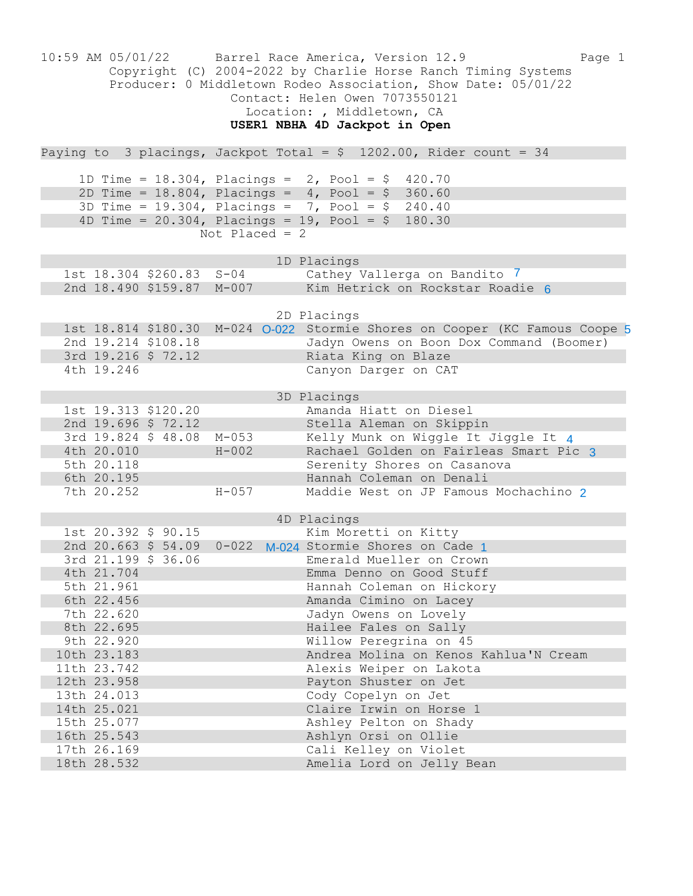| 10:59 AM 05/01/22                                                                                                                                                                                                                             | Barrel Race America, Version 12.9<br>Page 1<br>Copyright (C) 2004-2022 by Charlie Horse Ranch Timing Systems<br>Producer: 0 Middletown Rodeo Association, Show Date: 05/01/22<br>Contact: Helen Owen 7073550121<br>Location: , Middletown, CA<br>USER1 NBHA 4D Jackpot in Open |
|-----------------------------------------------------------------------------------------------------------------------------------------------------------------------------------------------------------------------------------------------|--------------------------------------------------------------------------------------------------------------------------------------------------------------------------------------------------------------------------------------------------------------------------------|
| Paying to 3 placings, Jackpot Total = $$ 1202.00$ , Rider count = 34                                                                                                                                                                          |                                                                                                                                                                                                                                                                                |
| 1D Time = $18.304$ , Placings = $2$ , Pool = \$ 420.70<br>2D Time = 18.804, Placings = $4$ , Pool = \$ 360.60<br>3D Time = 19.304, Placings = 7, Pool = $$240.40$<br>4D Time = $20.304$ , Placings = 19, Pool = \$ 180.30<br>Not Placed = $2$ |                                                                                                                                                                                                                                                                                |
| 1st 18.304 \$260.83 S-04                                                                                                                                                                                                                      | 1D Placings                                                                                                                                                                                                                                                                    |
| 2nd 18.490 \$159.87                                                                                                                                                                                                                           | Cathey Vallerga on Bandito 7                                                                                                                                                                                                                                                   |
| $M-007$                                                                                                                                                                                                                                       | Kim Hetrick on Rockstar Roadie 6                                                                                                                                                                                                                                               |
| 1st 18.814 \$180.30<br>2nd 19.214 \$108.18<br>3rd 19.216 \$ 72.12<br>4th 19.246                                                                                                                                                               | 2D Placings<br>M-024 O-022 Stormie Shores on Cooper (KC Famous Coope 5<br>Jadyn Owens on Boon Dox Command (Boomer)<br>Riata King on Blaze<br>Canyon Darger on CAT                                                                                                              |
| 1st 19.313 \$120.20<br>2nd 19.696 \$ 72.12<br>3rd 19.824 \$ 48.08<br>$M - 053$<br>4th 20.010<br>$H - 002$<br>5th 20.118<br>6th 20.195<br>$H - 057$<br>7th 20.252                                                                              | 3D Placings<br>Amanda Hiatt on Diesel<br>Stella Aleman on Skippin<br>Kelly Munk on Wiggle It Jiggle It 4<br>Rachael Golden on Fairleas Smart Pic 3<br>Serenity Shores on Casanova<br>Hannah Coleman on Denali<br>Maddie West on JP Famous Mochachino 2                         |
| 1st 20.392 \$ 90.15                                                                                                                                                                                                                           | 4D Placings                                                                                                                                                                                                                                                                    |
| 2nd 20.663 \$ 54.09                                                                                                                                                                                                                           | Kim Moretti on Kitty                                                                                                                                                                                                                                                           |
| $0 - 022$                                                                                                                                                                                                                                     | M-024 Stormie Shores on Cade 1                                                                                                                                                                                                                                                 |
| 3rd 21.199 \$ 36.06                                                                                                                                                                                                                           | Emerald Mueller on Crown                                                                                                                                                                                                                                                       |
| 4th 21.704                                                                                                                                                                                                                                    | Emma Denno on Good Stuff                                                                                                                                                                                                                                                       |
| 5th 21.961                                                                                                                                                                                                                                    | Hannah Coleman on Hickory                                                                                                                                                                                                                                                      |
| 6th 22.456                                                                                                                                                                                                                                    | Amanda Cimino on Lacey                                                                                                                                                                                                                                                         |
| 7th 22.620                                                                                                                                                                                                                                    | Jadyn Owens on Lovely                                                                                                                                                                                                                                                          |
| 8th 22.695                                                                                                                                                                                                                                    | Hailee Fales on Sally                                                                                                                                                                                                                                                          |
| 9th 22.920                                                                                                                                                                                                                                    | Willow Peregrina on 45                                                                                                                                                                                                                                                         |
| 10th 23.183                                                                                                                                                                                                                                   | Andrea Molina on Kenos Kahlua'N Cream                                                                                                                                                                                                                                          |
| 11th 23.742                                                                                                                                                                                                                                   | Alexis Weiper on Lakota                                                                                                                                                                                                                                                        |
| 12th 23.958                                                                                                                                                                                                                                   | Payton Shuster on Jet                                                                                                                                                                                                                                                          |
| 13th 24.013                                                                                                                                                                                                                                   | Cody Copelyn on Jet                                                                                                                                                                                                                                                            |
| 14th 25.021                                                                                                                                                                                                                                   | Claire Irwin on Horse 1                                                                                                                                                                                                                                                        |
| 15th 25.077                                                                                                                                                                                                                                   | Ashley Pelton on Shady                                                                                                                                                                                                                                                         |
| 16th 25.543                                                                                                                                                                                                                                   | Ashlyn Orsi on Ollie                                                                                                                                                                                                                                                           |
| 17th 26.169                                                                                                                                                                                                                                   | Cali Kelley on Violet                                                                                                                                                                                                                                                          |
| 18th 28.532                                                                                                                                                                                                                                   | Amelia Lord on Jelly Bean                                                                                                                                                                                                                                                      |